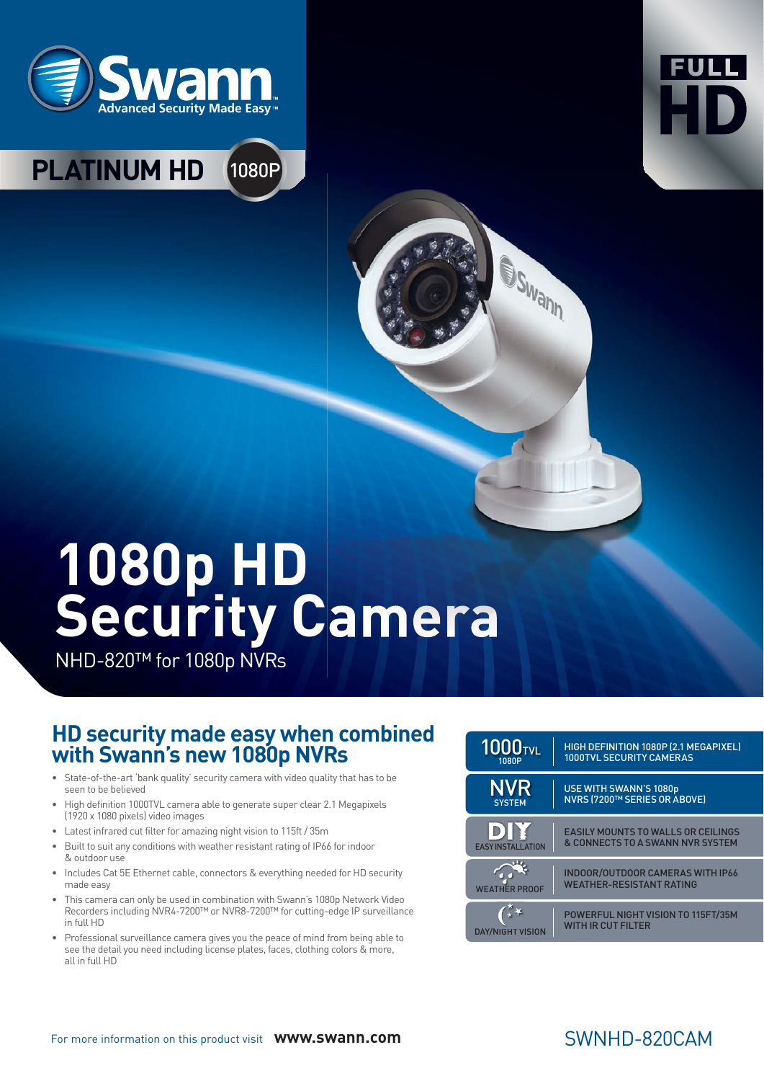



## **PLATINUM HD** 1080P

# **1080p HD Security Camera**

NHD-820™ for 1080p NVRs

#### **HD security made easy when combined with Swann's new 1080p NVRs**

- State-of-the-art 'bank quality' security camera with video quality that has to be seen to be believed
- High definition 1000TVL camera able to generate super clear 2.1 Megapixels (1920 x 1080 pixels) video images
- Latest infrared cut filter for amazing night vision to 115ft / 35m
- Built to suit any conditions with weather resistant rating of IP66 for indoor & outdoor use
- Includes Cat 5E Ethernet cable, connectors & everything needed for HD security made easy
- This camera can only be used in combination with Swann's 1080p Network Video Recorders including NVR4-7200™ or NVR8-7200™ for cutting-edge IP surveillance in full HD
- Professional surveillance camera gives you the peace of mind from being able to see the detail you need including license plates, faces, clothing colors & more, all in full HD

| <b>1000</b> TVL          | HIGH DEFINITION 1080P (2.1 MEGAPIXEL)                                      |
|--------------------------|----------------------------------------------------------------------------|
| 1080P                    | <b>1000TVL SECURITY CAMERAS</b>                                            |
| <b>NVR</b>               | <b>USE WITH SWANN'S 1080p</b>                                              |
| <b>SYSTEM</b>            | <b>NVRS (7200™ SERIES OR ABOVE)</b>                                        |
| D)                       | <b>EASILY MOUNTS TO WALLS OR CEILINGS</b>                                  |
| <b>EASY INSTALLATION</b> | & CONNECTS TO A SWANN NVR SYSTEM                                           |
| <b>WEATHER PROOF</b>     | <b>INDOOR/OUTDOOR CAMERAS WITH IP66</b><br><b>WEATHER-RESISTANT RATING</b> |
| DAY/NIGHT VISION         | POWERFUL NIGHT VISION TO 115FT/35M<br><b>WITH IR CUT FILTER</b>            |

**SWann** 

#### For more information on this product visit **www.swann.com**

#### SWNHD-820CAM